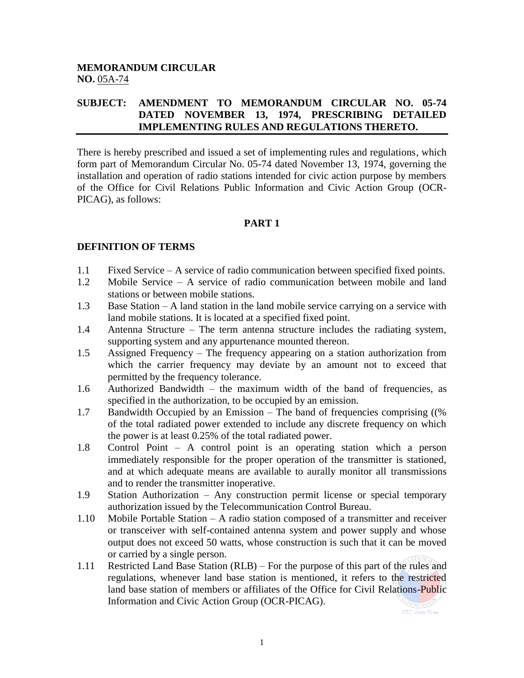## **MEMORANDUM CIRCULAR NO.** 05A-74

## **SUBJECT: AMENDMENT TO MEMORANDUM CIRCULAR NO. 05-74 DATED NOVEMBER 13, 1974, PRESCRIBING DETAILED IMPLEMENTING RULES AND REGULATIONS THERETO.**

There is hereby prescribed and issued a set of implementing rules and regulations, which form part of Memorandum Circular No. 05-74 dated November 13, 1974, governing the installation and operation of radio stations intended for civic action purpose by members of the Office for Civil Relations Public Information and Civic Action Group (OCR-PICAG), as follows:

### **PART 1**

### **DEFINITION OF TERMS**

- 1.1 Fixed Service A service of radio communication between specified fixed points.
- 1.2 Mobile Service A service of radio communication between mobile and land stations or between mobile stations.
- 1.3 Base Station A land station in the land mobile service carrying on a service with land mobile stations. It is located at a specified fixed point.
- 1.4 Antenna Structure The term antenna structure includes the radiating system, supporting system and any appurtenance mounted thereon.
- 1.5 Assigned Frequency The frequency appearing on a station authorization from which the carrier frequency may deviate by an amount not to exceed that permitted by the frequency tolerance.
- 1.6 Authorized Bandwidth the maximum width of the band of frequencies, as specified in the authorization, to be occupied by an emission.
- 1.7 Bandwidth Occupied by an Emission The band of frequencies comprising ((% of the total radiated power extended to include any discrete frequency on which the power is at least 0.25% of the total radiated power.
- 1.8 Control Point A control point is an operating station which a person immediately responsible for the proper operation of the transmitter is stationed, and at which adequate means are available to aurally monitor all transmissions and to render the transmitter inoperative.
- 1.9 Station Authorization Any construction permit license or special temporary authorization issued by the Telecommunication Control Bureau.
- 1.10 Mobile Portable Station A radio station composed of a transmitter and receiver or transceiver with self-contained antenna system and power supply and whose output does not exceed 50 watts, whose construction is such that it can be moved or carried by a single person.
- 1.11 Restricted Land Base Station (RLB) For the purpose of this part of the rules and regulations, whenever land base station is mentioned, it refers to the restricted land base station of members or affiliates of the Office for Civil Relations-Public Information and Civic Action Group (OCR-PICAG).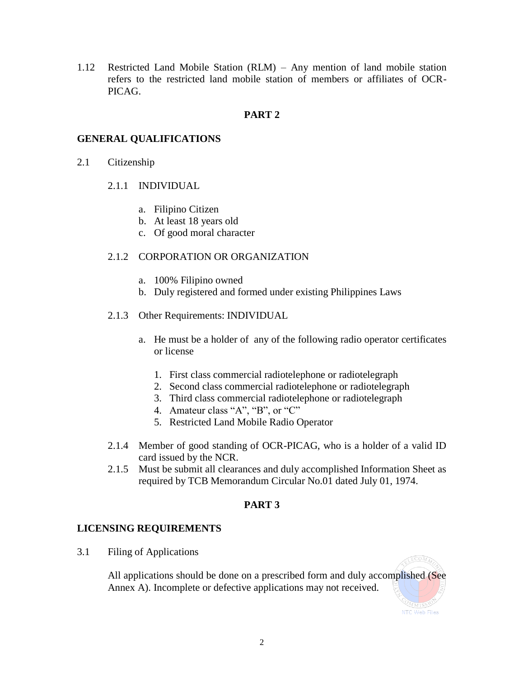1.12 Restricted Land Mobile Station (RLM) – Any mention of land mobile station refers to the restricted land mobile station of members or affiliates of OCR-PICAG.

# **PART 2**

## **GENERAL QUALIFICATIONS**

- 2.1 Citizenship
	- 2.1.1 INDIVIDUAL
		- a. Filipino Citizen
		- b. At least 18 years old
		- c. Of good moral character

### 2.1.2 CORPORATION OR ORGANIZATION

- a. 100% Filipino owned
- b. Duly registered and formed under existing Philippines Laws
- 2.1.3 Other Requirements: INDIVIDUAL
	- a. He must be a holder of any of the following radio operator certificates or license
		- 1. First class commercial radiotelephone or radiotelegraph
		- 2. Second class commercial radiotelephone or radiotelegraph
		- 3. Third class commercial radiotelephone or radiotelegraph
		- 4. Amateur class "A", "B", or "C"
		- 5. Restricted Land Mobile Radio Operator
- 2.1.4 Member of good standing of OCR-PICAG, who is a holder of a valid ID card issued by the NCR.
- 2.1.5 Must be submit all clearances and duly accomplished Information Sheet as required by TCB Memorandum Circular No.01 dated July 01, 1974.

#### **PART 3**

## **LICENSING REQUIREMENTS**

3.1 Filing of Applications

All applications should be done on a prescribed form and duly accomplished (See Annex A). Incomplete or defective applications may not received.

LECOMM

2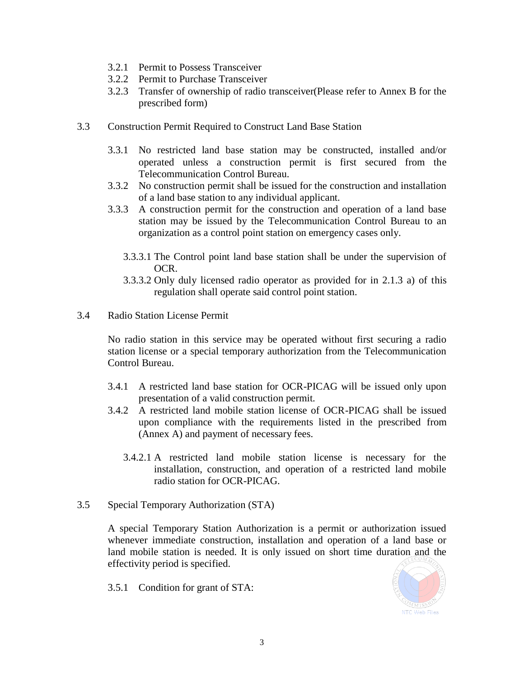- 3.2.1 Permit to Possess Transceiver
- 3.2.2 Permit to Purchase Transceiver
- 3.2.3 Transfer of ownership of radio transceiver(Please refer to Annex B for the prescribed form)
- 3.3 Construction Permit Required to Construct Land Base Station
	- 3.3.1 No restricted land base station may be constructed, installed and/or operated unless a construction permit is first secured from the Telecommunication Control Bureau.
	- 3.3.2 No construction permit shall be issued for the construction and installation of a land base station to any individual applicant.
	- 3.3.3 A construction permit for the construction and operation of a land base station may be issued by the Telecommunication Control Bureau to an organization as a control point station on emergency cases only.
		- 3.3.3.1 The Control point land base station shall be under the supervision of OCR.
		- 3.3.3.2 Only duly licensed radio operator as provided for in 2.1.3 a) of this regulation shall operate said control point station.
- 3.4 Radio Station License Permit

No radio station in this service may be operated without first securing a radio station license or a special temporary authorization from the Telecommunication Control Bureau.

- 3.4.1 A restricted land base station for OCR-PICAG will be issued only upon presentation of a valid construction permit.
- 3.4.2 A restricted land mobile station license of OCR-PICAG shall be issued upon compliance with the requirements listed in the prescribed from (Annex A) and payment of necessary fees.
	- 3.4.2.1 A restricted land mobile station license is necessary for the installation, construction, and operation of a restricted land mobile radio station for OCR-PICAG.
- 3.5 Special Temporary Authorization (STA)

A special Temporary Station Authorization is a permit or authorization issued whenever immediate construction, installation and operation of a land base or land mobile station is needed. It is only issued on short time duration and the effectivity period is specified.

3.5.1 Condition for grant of STA:

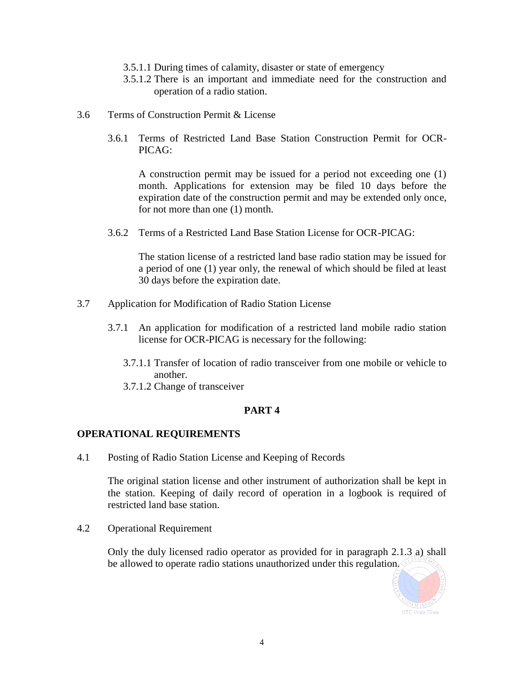- 3.5.1.1 During times of calamity, disaster or state of emergency
- 3.5.1.2 There is an important and immediate need for the construction and operation of a radio station.
- 3.6 Terms of Construction Permit & License
	- 3.6.1 Terms of Restricted Land Base Station Construction Permit for OCR-PICAG:

A construction permit may be issued for a period not exceeding one (1) month. Applications for extension may be filed 10 days before the expiration date of the construction permit and may be extended only once, for not more than one (1) month.

3.6.2 Terms of a Restricted Land Base Station License for OCR-PICAG:

The station license of a restricted land base radio station may be issued for a period of one (1) year only, the renewal of which should be filed at least 30 days before the expiration date.

- 3.7 Application for Modification of Radio Station License
	- 3.7.1 An application for modification of a restricted land mobile radio station license for OCR-PICAG is necessary for the following:
		- 3.7.1.1 Transfer of location of radio transceiver from one mobile or vehicle to another.
		- 3.7.1.2 Change of transceiver

## **PART 4**

#### **OPERATIONAL REQUIREMENTS**

4.1 Posting of Radio Station License and Keeping of Records

The original station license and other instrument of authorization shall be kept in the station. Keeping of daily record of operation in a logbook is required of restricted land base station.

4.2 Operational Requirement

Only the duly licensed radio operator as provided for in paragraph 2.1.3 a) shall be allowed to operate radio stations unauthorized under this regulation.

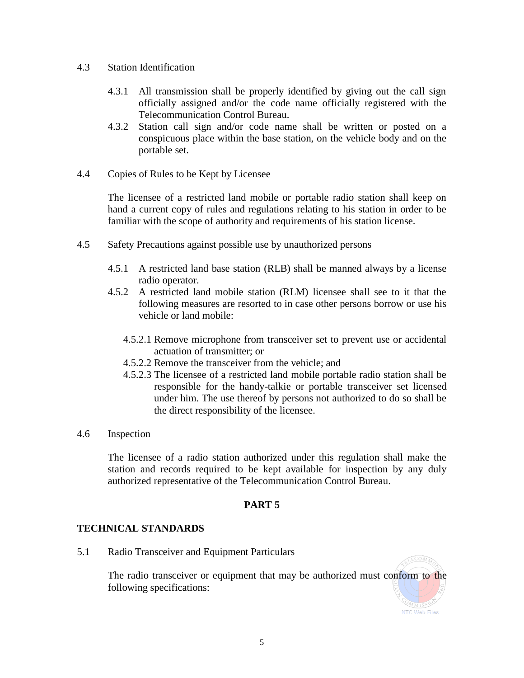- 4.3 Station Identification
	- 4.3.1 All transmission shall be properly identified by giving out the call sign officially assigned and/or the code name officially registered with the Telecommunication Control Bureau.
	- 4.3.2 Station call sign and/or code name shall be written or posted on a conspicuous place within the base station, on the vehicle body and on the portable set.
- 4.4 Copies of Rules to be Kept by Licensee

The licensee of a restricted land mobile or portable radio station shall keep on hand a current copy of rules and regulations relating to his station in order to be familiar with the scope of authority and requirements of his station license.

- 4.5 Safety Precautions against possible use by unauthorized persons
	- 4.5.1 A restricted land base station (RLB) shall be manned always by a license radio operator.
	- 4.5.2 A restricted land mobile station (RLM) licensee shall see to it that the following measures are resorted to in case other persons borrow or use his vehicle or land mobile:
		- 4.5.2.1 Remove microphone from transceiver set to prevent use or accidental actuation of transmitter; or
		- 4.5.2.2 Remove the transceiver from the vehicle; and
		- 4.5.2.3 The licensee of a restricted land mobile portable radio station shall be responsible for the handy-talkie or portable transceiver set licensed under him. The use thereof by persons not authorized to do so shall be the direct responsibility of the licensee.
- 4.6 Inspection

The licensee of a radio station authorized under this regulation shall make the station and records required to be kept available for inspection by any duly authorized representative of the Telecommunication Control Bureau.

#### **PART 5**

#### **TECHNICAL STANDARDS**

5.1 Radio Transceiver and Equipment Particulars

The radio transceiver or equipment that may be authorized must conform to the following specifications:

LECOMA